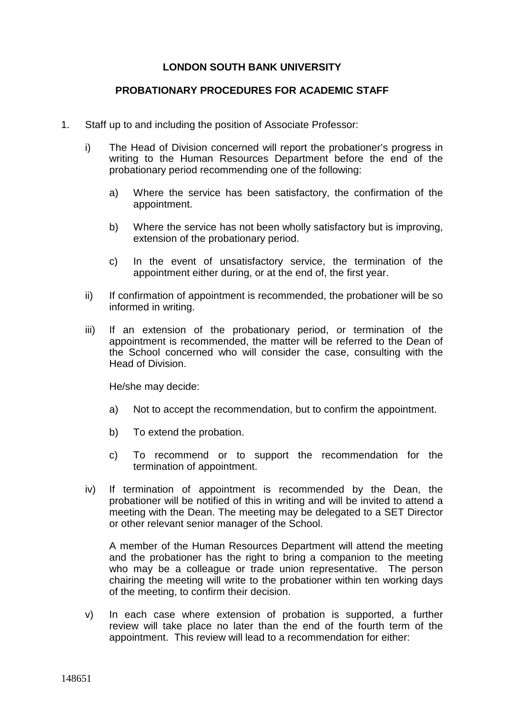## **LONDON SOUTH BANK UNIVERSITY**

## **PROBATIONARY PROCEDURES FOR ACADEMIC STAFF**

- 1. Staff up to and including the position of Associate Professor:
	- i) The Head of Division concerned will report the probationer's progress in writing to the Human Resources Department before the end of the probationary period recommending one of the following:
		- a) Where the service has been satisfactory, the confirmation of the appointment.
		- b) Where the service has not been wholly satisfactory but is improving, extension of the probationary period.
		- c) In the event of unsatisfactory service, the termination of the appointment either during, or at the end of, the first year.
	- ii) If confirmation of appointment is recommended, the probationer will be so informed in writing.
	- iii) If an extension of the probationary period, or termination of the appointment is recommended, the matter will be referred to the Dean of the School concerned who will consider the case, consulting with the Head of Division.

He/she may decide:

- a) Not to accept the recommendation, but to confirm the appointment.
- b) To extend the probation.
- c) To recommend or to support the recommendation for the termination of appointment.
- iv) If termination of appointment is recommended by the Dean, the probationer will be notified of this in writing and will be invited to attend a meeting with the Dean. The meeting may be delegated to a SET Director or other relevant senior manager of the School.

A member of the Human Resources Department will attend the meeting and the probationer has the right to bring a companion to the meeting who may be a colleague or trade union representative. The person chairing the meeting will write to the probationer within ten working days of the meeting, to confirm their decision.

v) In each case where extension of probation is supported, a further review will take place no later than the end of the fourth term of the appointment. This review will lead to a recommendation for either: